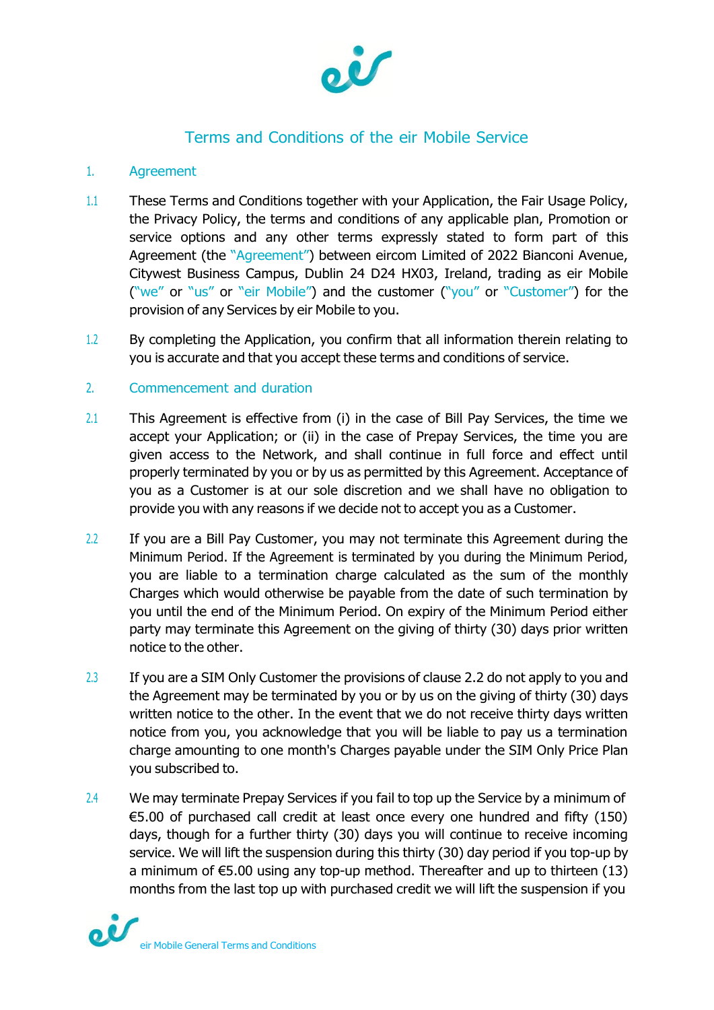

# Terms and Conditions of the eir Mobile Service

# 1. Agreement

- 1.1 These Terms and Conditions together with your Application, the Fair Usage Policy, the Privacy Policy, the terms and conditions of any applicable plan, Promotion or service options and any other terms expressly stated to form part of this Agreement (the "Agreement") between eircom Limited of 2022 Bianconi Avenue, Citywest Business Campus, Dublin 24 D24 HX03, Ireland, trading as eir Mobile ("we" or "us" or "eir Mobile") and the customer ("you" or "Customer") for the provision of any Services by eir Mobile to you.
- 1.2 By completing the Application, you confirm that all information therein relating to you is accurate and that you accept these terms and conditions of service.

# 2. Commencement and duration

- 2.1 This Agreement is effective from (i) in the case of Bill Pay Services, the time we accept your Application; or (ii) in the case of Prepay Services, the time you are given access to the Network, and shall continue in full force and effect until properly terminated by you or by us as permitted by this Agreement. Acceptance of you as a Customer is at our sole discretion and we shall have no obligation to provide you with any reasons if we decide not to accept you as a Customer.
- 2.2 If you are a Bill Pay Customer, you may not terminate this Agreement during the Minimum Period. If the Agreement is terminated by you during the Minimum Period, you are liable to a termination charge calculated as the sum of the monthly Charges which would otherwise be payable from the date of such termination by you until the end of the Minimum Period. On expiry of the Minimum Period either party may terminate this Agreement on the giving of thirty (30) days prior written notice to the other.
- 2.3 If you are a SIM Only Customer the provisions of clause 2.2 do not apply to you and the Agreement may be terminated by you or by us on the giving of thirty (30) days written notice to the other. In the event that we do not receive thirty days written notice from you, you acknowledge that you will be liable to pay us a termination charge amounting to one month's Charges payable under the SIM Only Price Plan you subscribed to.
- 2.4 We may terminate Prepay Services if you fail to top up the Service by a minimum of €5.00 of purchased call credit at least once every one hundred and fifty (150) days, though for a further thirty (30) days you will continue to receive incoming service. We will lift the suspension during this thirty (30) day period if you top-up by a minimum of €5.00 using any top-up method. Thereafter and up to thirteen (13) months from the last top up with purchased credit we will lift the suspension if you

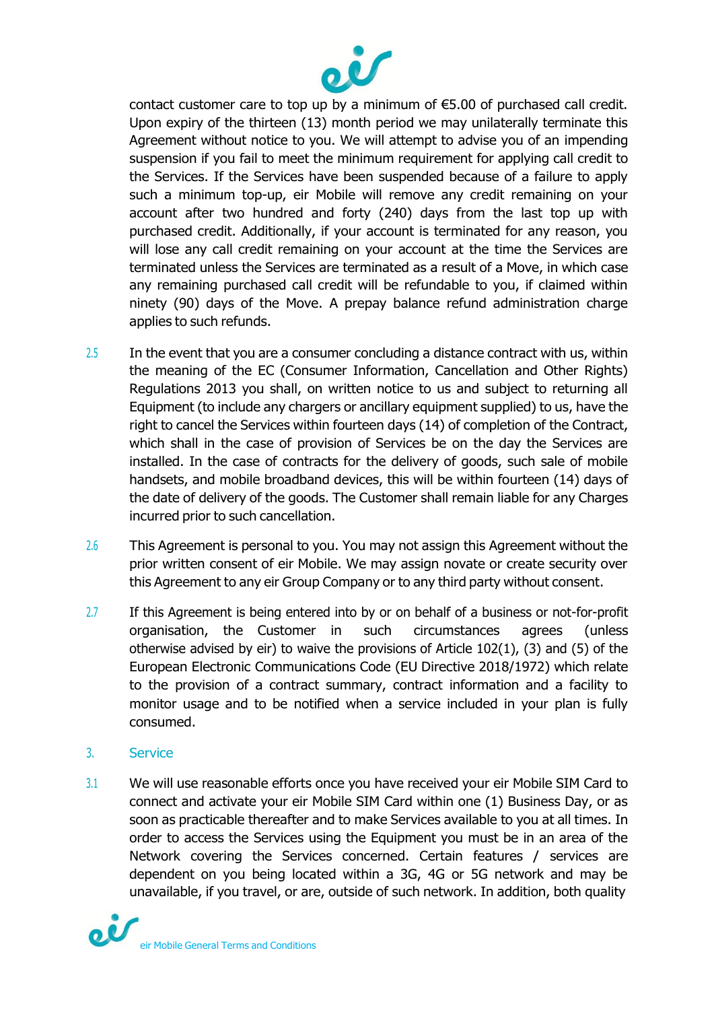

contact customer care to top up by a minimum of €5.00 of purchased call credit. Upon expiry of the thirteen (13) month period we may unilaterally terminate this Agreement without notice to you. We will attempt to advise you of an impending suspension if you fail to meet the minimum requirement for applying call credit to the Services. If the Services have been suspended because of a failure to apply such a minimum top-up, eir Mobile will remove any credit remaining on your account after two hundred and forty (240) days from the last top up with purchased credit. Additionally, if your account is terminated for any reason, you will lose any call credit remaining on your account at the time the Services are terminated unless the Services are terminated as a result of a Move, in which case any remaining purchased call credit will be refundable to you, if claimed within ninety (90) days of the Move. A prepay balance refund administration charge applies to such refunds.

- $2.5$  In the event that you are a consumer concluding a distance contract with us, within the meaning of the EC (Consumer Information, Cancellation and Other Rights) Regulations 2013 you shall, on written notice to us and subject to returning all Equipment (to include any chargers or ancillary equipment supplied) to us, have the right to cancel the Services within fourteen days (14) of completion of the Contract, which shall in the case of provision of Services be on the day the Services are installed. In the case of contracts for the delivery of goods, such sale of mobile handsets, and mobile broadband devices, this will be within fourteen (14) days of the date of delivery of the goods. The Customer shall remain liable for any Charges incurred prior to such cancellation.
- 2.6 This Agreement is personal to you. You may not assign this Agreement without the prior written consent of eir Mobile. We may assign novate or create security over this Agreement to any eir Group Company or to any third party without consent.
- 2.7 If this Agreement is being entered into by or on behalf of a business or not-for-profit organisation, the Customer in such circumstances agrees (unless otherwise advised by eir) to waive the provisions of Article 102(1), (3) and (5) of the European Electronic Communications Code (EU Directive 2018/1972) which relate to the provision of a contract summary, contract information and a facility to monitor usage and to be notified when a service included in your plan is fully consumed.

#### 3. Service

3.1 We will use reasonable efforts once you have received your eir Mobile SIM Card to connect and activate your eir Mobile SIM Card within one (1) Business Day, or as soon as practicable thereafter and to make Services available to you at all times. In order to access the Services using the Equipment you must be in an area of the Network covering the Services concerned. Certain features / services are dependent on you being located within a 3G, 4G or 5G network and may be unavailable, if you travel, or are, outside of such network. In addition, both quality

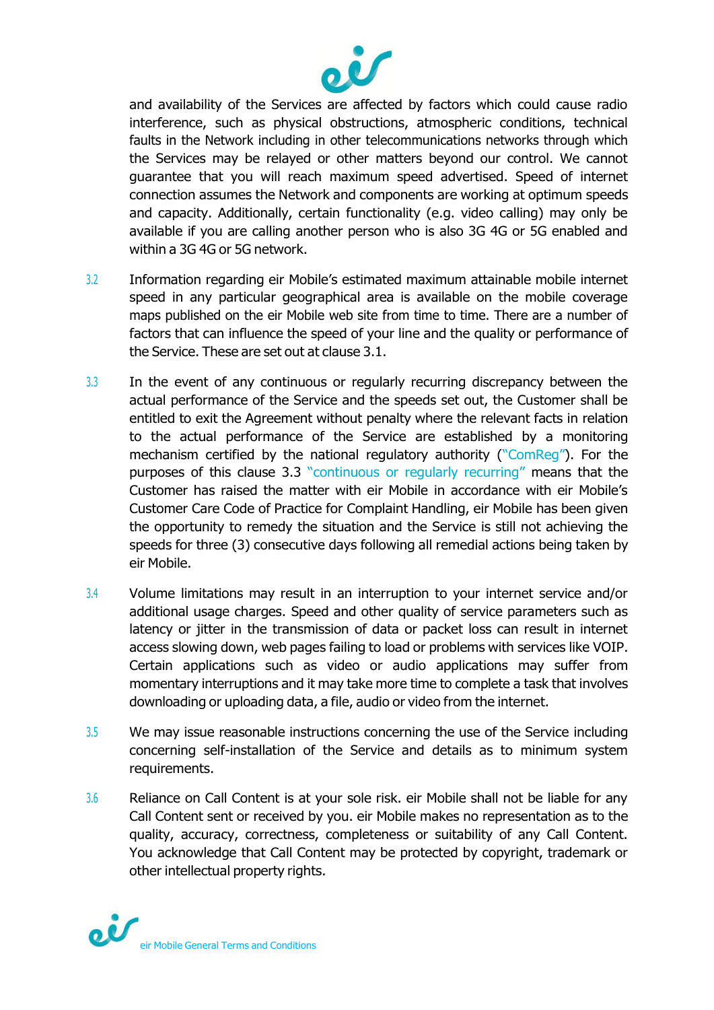

and availability of the Services are affected by factors which could cause radio interference, such as physical obstructions, atmospheric conditions, technical faults in the Network including in other telecommunications networks through which the Services may be relayed or other matters beyond our control. We cannot guarantee that you will reach maximum speed advertised. Speed of internet connection assumes the Network and components are working at optimum speeds and capacity. Additionally, certain functionality (e.g. video calling) may only be available if you are calling another person who is also 3G 4G or 5G enabled and within a 3G 4G or 5G network.

- 3.2 Information regarding eir Mobile's estimated maximum attainable mobile internet speed in any particular geographical area is available on the mobile coverage maps published on the eir Mobile web site from time to time. There are a number of factors that can influence the speed of your line and the quality or performance of the Service. These are set out at clause 3.1.
- 3.3 In the event of any continuous or regularly recurring discrepancy between the actual performance of the Service and the speeds set out, the Customer shall be entitled to exit the Agreement without penalty where the relevant facts in relation to the actual performance of the Service are established by a monitoring mechanism certified by the national regulatory authority ("ComReg"). For the purposes of this clause 3.3 "continuous or regularly recurring" means that the Customer has raised the matter with eir Mobile in accordance with eir Mobile's Customer Care Code of Practice for Complaint Handling, eir Mobile has been given the opportunity to remedy the situation and the Service is still not achieving the speeds for three (3) consecutive days following all remedial actions being taken by eir Mobile.
- 3.4 Volume limitations may result in an interruption to your internet service and/or additional usage charges. Speed and other quality of service parameters such as latency or jitter in the transmission of data or packet loss can result in internet access slowing down, web pages failing to load or problems with services like VOIP. Certain applications such as video or audio applications may suffer from momentary interruptions and it may take more time to complete a task that involves downloading or uploading data, a file, audio or video from the internet.
- 3.5 We may issue reasonable instructions concerning the use of the Service including concerning self-installation of the Service and details as to minimum system requirements.
- 3.6 Reliance on Call Content is at your sole risk. eir Mobile shall not be liable for any Call Content sent or received by you. eir Mobile makes no representation as to the quality, accuracy, correctness, completeness or suitability of any Call Content. You acknowledge that Call Content may be protected by copyright, trademark or other intellectual property rights.

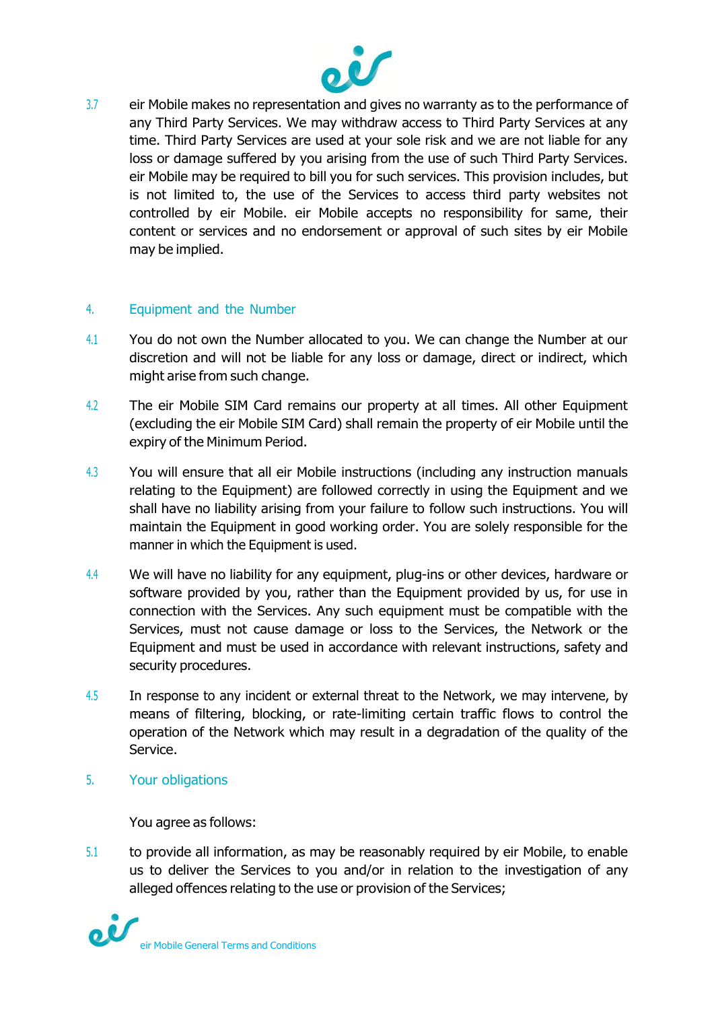

3.7 eir Mobile makes no representation and gives no warranty as to the performance of any Third Party Services. We may withdraw access to Third Party Services at any time. Third Party Services are used at your sole risk and we are not liable for any loss or damage suffered by you arising from the use of such Third Party Services. eir Mobile may be required to bill you for such services. This provision includes, but is not limited to, the use of the Services to access third party websites not controlled by eir Mobile. eir Mobile accepts no responsibility for same, their content or services and no endorsement or approval of such sites by eir Mobile may be implied.

### 4. Equipment and the Number

- 4.1 You do not own the Number allocated to you. We can change the Number at our discretion and will not be liable for any loss or damage, direct or indirect, which might arise from such change.
- 4.2 The eir Mobile SIM Card remains our property at all times. All other Equipment (excluding the eir Mobile SIM Card) shall remain the property of eir Mobile until the expiry of the Minimum Period.
- 4.3 You will ensure that all eir Mobile instructions (including any instruction manuals relating to the Equipment) are followed correctly in using the Equipment and we shall have no liability arising from your failure to follow such instructions. You will maintain the Equipment in good working order. You are solely responsible for the manner in which the Equipment is used.
- 4.4 We will have no liability for any equipment, plug-ins or other devices, hardware or software provided by you, rather than the Equipment provided by us, for use in connection with the Services. Any such equipment must be compatible with the Services, must not cause damage or loss to the Services, the Network or the Equipment and must be used in accordance with relevant instructions, safety and security procedures.
- 4.5 In response to any incident or external threat to the Network, we may intervene, by means of filtering, blocking, or rate-limiting certain traffic flows to control the operation of the Network which may result in a degradation of the quality of the Service.
- 5. Your obligations

You agree as follows:

5.1 to provide all information, as may be reasonably required by eir Mobile, to enable us to deliver the Services to you and/or in relation to the investigation of any alleged offences relating to the use or provision of the Services;

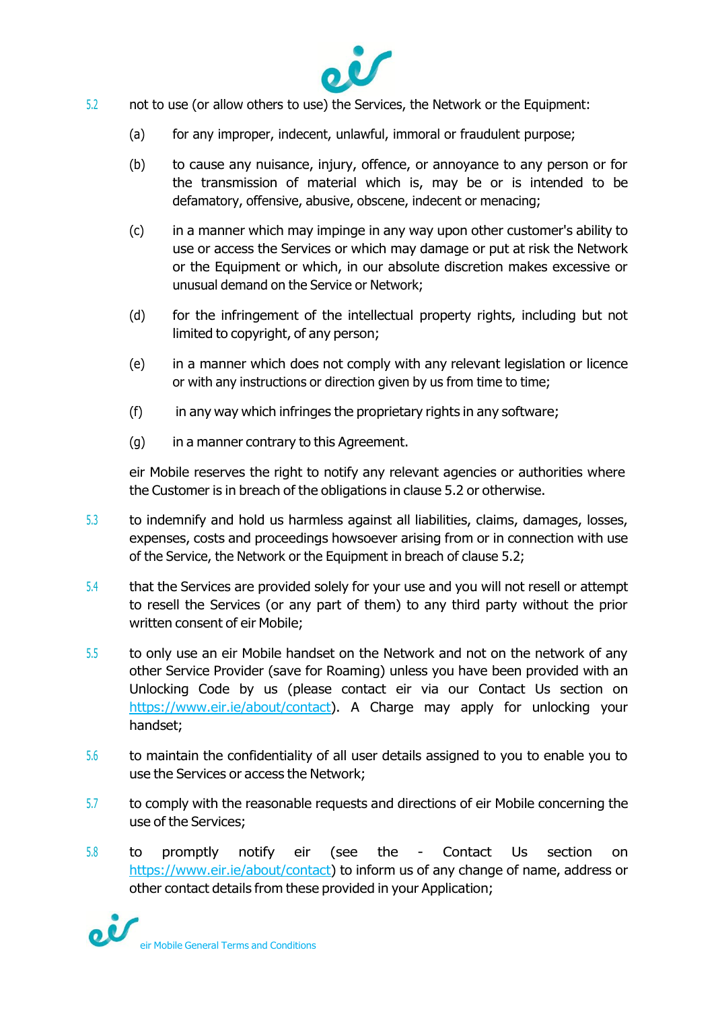

- 5.2 not to use (or allow others to use) the Services, the Network or the Equipment:
	- (a) for any improper, indecent, unlawful, immoral or fraudulent purpose;
	- (b) to cause any nuisance, injury, offence, or annoyance to any person or for the transmission of material which is, may be or is intended to be defamatory, offensive, abusive, obscene, indecent or menacing;
	- (c) in a manner which may impinge in any way upon other customer's ability to use or access the Services or which may damage or put at risk the Network or the Equipment or which, in our absolute discretion makes excessive or unusual demand on the Service or Network;
	- (d) for the infringement of the intellectual property rights, including but not limited to copyright, of any person;
	- (e) in a manner which does not comply with any relevant legislation or licence or with any instructions or direction given by us from time to time;
	- (f) in any way which infringes the proprietary rights in any software;
	- (g) in a manner contrary to this Agreement.

eir Mobile reserves the right to notify any relevant agencies or authorities where the Customer is in breach of the obligations in clause 5.2 or otherwise.

- 5.3 to indemnify and hold us harmless against all liabilities, claims, damages, losses, expenses, costs and proceedings howsoever arising from or in connection with use of the Service, the Network or the Equipment in breach of clause 5.2;
- 5.4 that the Services are provided solely for your use and you will not resell or attempt to resell the Services (or any part of them) to any third party without the prior written consent of eir Mobile;
- 5.5 to only use an eir Mobile handset on the Network and not on the network of any other Service Provider (save for Roaming) unless you have been provided with an Unlocking Code by us (please contact eir via our Contact Us section on [https://www.eir.ie/about/contact\)](https://www.eir.ie/about/contact). A Charge may apply for unlocking your handset;
- 5.6 to maintain the confidentiality of all user details assigned to you to enable you to use the Services or access the Network;
- 5.7 to comply with the reasonable requests and directions of eir Mobile concerning the use of the Services;
- 5.8 to promptly notify eir (see the Contact Us section on [https://www.eir.ie/about/contact\)](https://www.eir.ie/about/contact) to inform us of any change of name, address or other contact details from these provided in your Application;

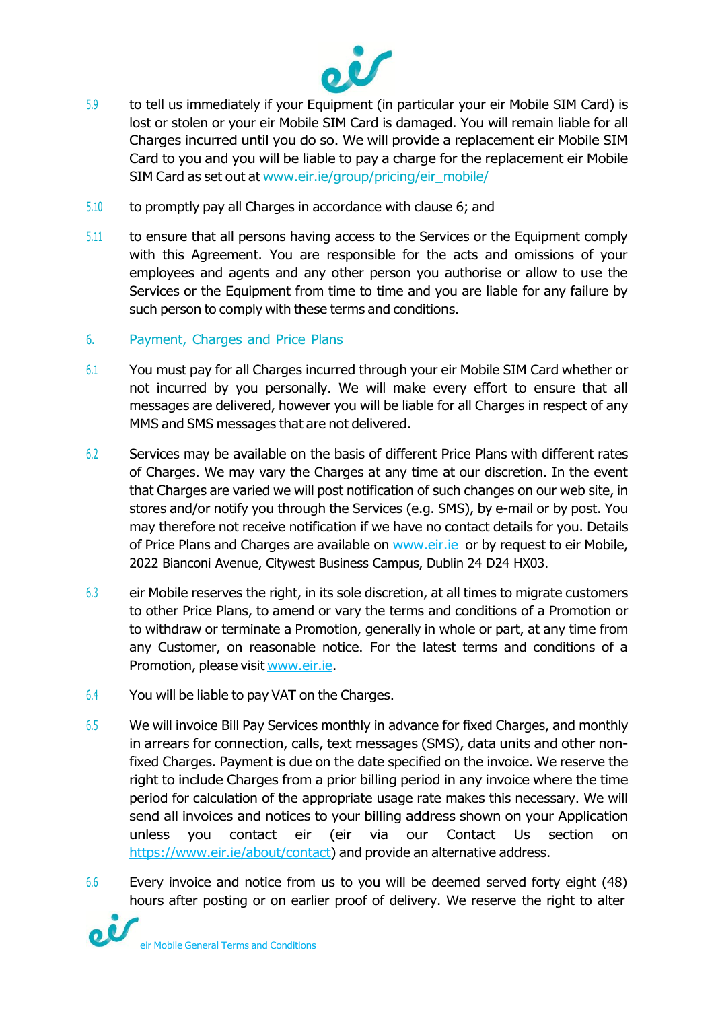

- 5.9 to tell us immediately if your Equipment (in particular your eir Mobile SIM Card) is lost or stolen or your eir Mobile SIM Card is damaged. You will remain liable for all Charges incurred until you do so. We will provide a replacement eir Mobile SIM Card to you and you will be liable to pay a charge for the replacement eir Mobile SIM Card as set out at [www.eir.ie/group/pricing/eir\\_mobile/](https://www.eir.ie/group/pricing/eir_mobile/)
- 5.10 to promptly pay all Charges in accordance with clause 6; and
- 5.11 to ensure that all persons having access to the Services or the Equipment comply with this Agreement. You are responsible for the acts and omissions of your employees and agents and any other person you authorise or allow to use the Services or the Equipment from time to time and you are liable for any failure by such person to comply with these terms and conditions.
- 6. Payment, Charges and Price Plans
- 6.1 You must pay for all Charges incurred through your eir Mobile SIM Card whether or not incurred by you personally. We will make every effort to ensure that all messages are delivered, however you will be liable for all Charges in respect of any MMS and SMS messages that are not delivered.
- 6.2 Services may be available on the basis of different Price Plans with different rates of Charges. We may vary the Charges at any time at our discretion. In the event that Charges are varied we will post notification of such changes on our web site, in stores and/or notify you through the Services (e.g. SMS), by e-mail or by post. You may therefore not receive notification if we have no contact details for you. Details of Price Plans and Charges are available on [www.eir.ie](http://www.eir.ie/) or by request to eir Mobile, 2022 Bianconi Avenue, Citywest Business Campus, Dublin 24 D24 HX03.
- 6.3 eir Mobile reserves the right, in its sole discretion, at all times to migrate customers to other Price Plans, to amend or vary the terms and conditions of a Promotion or to withdraw or terminate a Promotion, generally in whole or part, at any time from any Customer, on reasonable notice. For the latest terms and conditions of a Promotion, please visit [www.eir.ie.](http://www.eir.ie/)
- 6.4 You will be liable to pay VAT on the Charges.
- 6.5 We will invoice Bill Pay Services monthly in advance for fixed Charges, and monthly in arrears for connection, calls, text messages (SMS), data units and other nonfixed Charges. Payment is due on the date specified on the invoice. We reserve the right to include Charges from a prior billing period in any invoice where the time period for calculation of the appropriate usage rate makes this necessary. We will send all invoices and notices to your billing address shown on your Application unless you contact eir (eir via our Contact Us section on [https://www.eir.ie/about/contact\)](https://www.eir.ie/about/contact) and provide an alternative address.
- 6.6 Every invoice and notice from us to you will be deemed served forty eight (48) hours after posting or on earlier proof of delivery. We reserve the right to alter

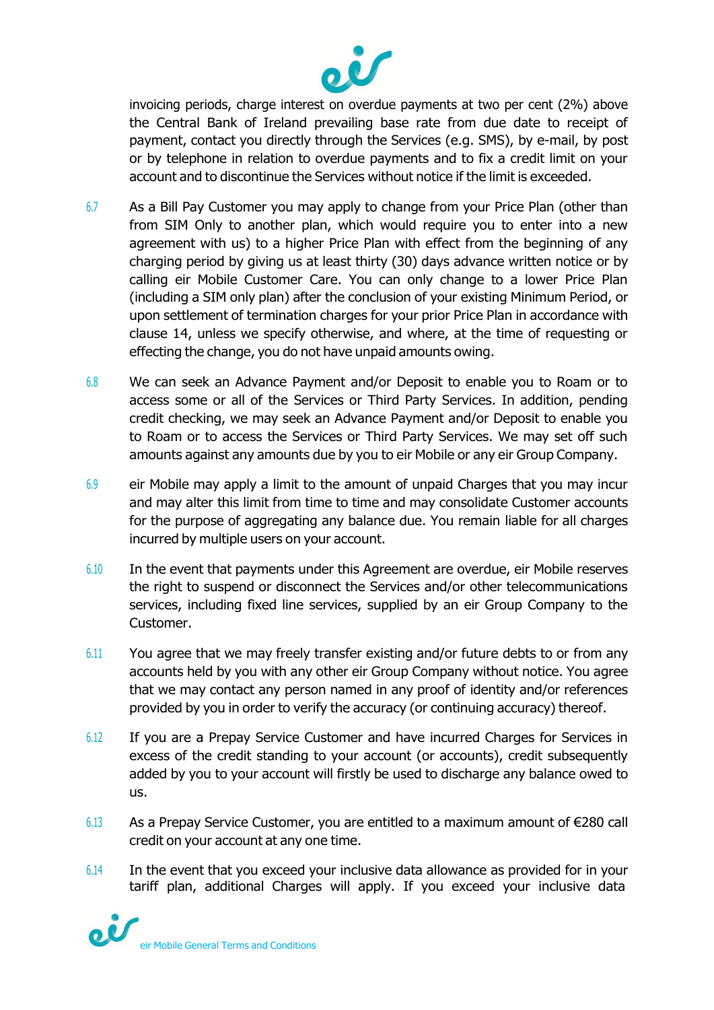

invoicing periods, charge interest on overdue payments at two per cent (2%) above the Central Bank of Ireland prevailing base rate from due date to receipt of payment, contact you directly through the Services (e.g. SMS), by e-mail, by post or by telephone in relation to overdue payments and to fix a credit limit on your account and to discontinue the Services without notice if the limit is exceeded.

- 6.7 As a Bill Pay Customer you may apply to change from your Price Plan (other than from SIM Only to another plan, which would require you to enter into a new agreement with us) to a higher Price Plan with effect from the beginning of any charging period by giving us at least thirty (30) days advance written notice or by calling eir Mobile Customer Care. You can only change to a lower Price Plan (including a SIM only plan) after the conclusion of your existing Minimum Period, or upon settlement of termination charges for your prior Price Plan in accordance with clause 14, unless we specify otherwise, and where, at the time of requesting or effecting the change, you do not have unpaid amounts owing.
- 6.8 We can seek an Advance Payment and/or Deposit to enable you to Roam or to access some or all of the Services or Third Party Services. In addition, pending credit checking, we may seek an Advance Payment and/or Deposit to enable you to Roam or to access the Services or Third Party Services. We may set off such amounts against any amounts due by you to eir Mobile or any eir Group Company.
- 6.9 eir Mobile may apply a limit to the amount of unpaid Charges that you may incur and may alter this limit from time to time and may consolidate Customer accounts for the purpose of aggregating any balance due. You remain liable for all charges incurred by multiple users on your account.
- 6.10 In the event that payments under this Agreement are overdue, eir Mobile reserves the right to suspend or disconnect the Services and/or other telecommunications services, including fixed line services, supplied by an eir Group Company to the Customer.
- 6.11 You agree that we may freely transfer existing and/or future debts to or from any accounts held by you with any other eir Group Company without notice. You agree that we may contact any person named in any proof of identity and/or references provided by you in order to verify the accuracy (or continuing accuracy) thereof.
- 6.12 If you are a Prepay Service Customer and have incurred Charges for Services in excess of the credit standing to your account (or accounts), credit subsequently added by you to your account will firstly be used to discharge any balance owed to us.
- 6.13 As a Prepay Service Customer, you are entitled to a maximum amount of €280 call credit on your account at any one time.
- 6.14 In the event that you exceed your inclusive data allowance as provided for in your tariff plan, additional Charges will apply. If you exceed your inclusive data

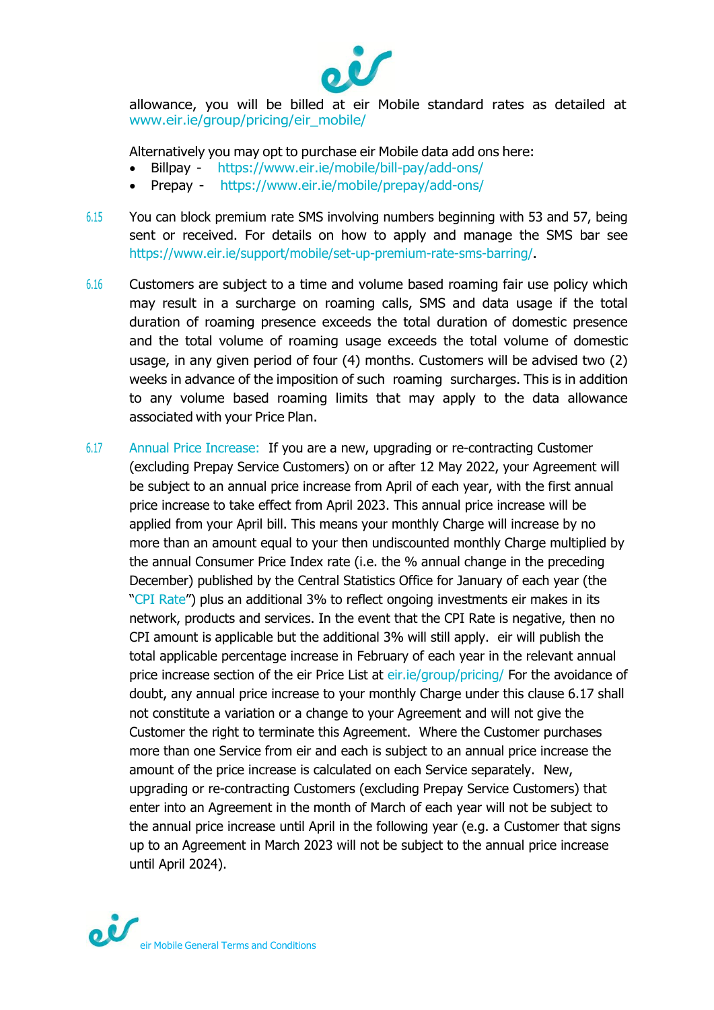

allowance, you will be billed at eir Mobile standard rates as detailed at [www.eir.ie/group/pricing/eir\\_mobile/](https://www.eir.ie/group/pricing/eir_mobile/)

Alternatively you may opt to purchase eir Mobile data add ons here:

- Billpay <https://www.eir.ie/mobile/bill-pay/add-ons/>
- Prepay <https://www.eir.ie/mobile/prepay/add-ons/>
- 6.15 You can block premium rate SMS involving numbers beginning with 53 and 57, being sent or received. For details on how to apply and manage the SMS bar see <https://www.eir.ie/support/mobile/set-up-premium-rate-sms-barring/>**.**
- 6.16 Customers are subject to a time and volume based roaming fair use policy which may result in a surcharge on roaming calls, SMS and data usage if the total duration of roaming presence exceeds the total duration of domestic presence and the total volume of roaming usage exceeds the total volume of domestic usage, in any given period of four (4) months. Customers will be advised two (2) weeks in advance of the imposition of such roaming surcharges. This is in addition to any volume based roaming limits that may apply to the data allowance associated with your Price Plan.
- 6.17 Annual Price Increase: If you are a new, upgrading or re-contracting Customer (excluding Prepay Service Customers) on or after 12 May 2022, your Agreement will be subject to an annual price increase from April of each year, with the first annual price increase to take effect from April 2023. This annual price increase will be applied from your April bill. This means your monthly Charge will increase by no more than an amount equal to your then undiscounted monthly Charge multiplied by the annual Consumer Price Index rate (i.e. the % annual change in the preceding December) published by the Central Statistics Office for January of each year (the "CPI Rate") plus an additional 3% to reflect ongoing investments eir makes in its network, products and services. In the event that the CPI Rate is negative, then no CPI amount is applicable but the additional 3% will still apply. eir will publish the total applicable percentage increase in February of each year in the relevant annual price increase section of the eir Price List at eir.ie/group/pricing/ For the avoidance of doubt, any annual price increase to your monthly Charge under this clause 6.17 shall not constitute a variation or a change to your Agreement and will not give the Customer the right to terminate this Agreement. Where the Customer purchases more than one Service from eir and each is subject to an annual price increase the amount of the price increase is calculated on each Service separately. New, upgrading or re-contracting Customers (excluding Prepay Service Customers) that enter into an Agreement in the month of March of each year will not be subject to the annual price increase until April in the following year (e.g. a Customer that signs up to an Agreement in March 2023 will not be subject to the annual price increase until April 2024).

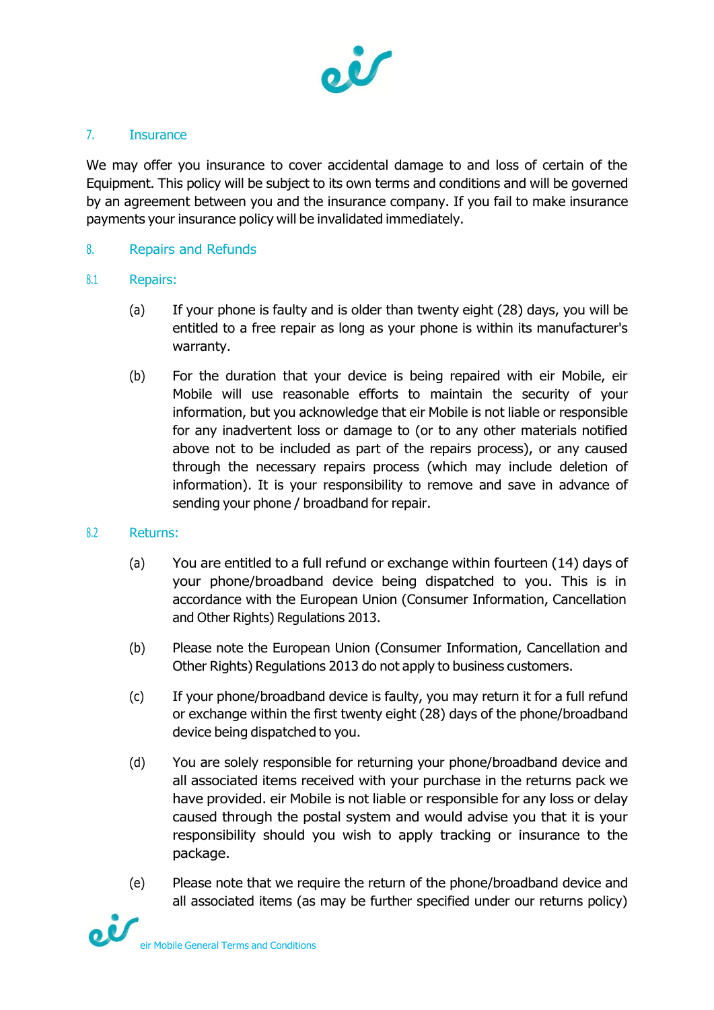

### 7. Insurance

We may offer you insurance to cover accidental damage to and loss of certain of the Equipment. This policy will be subject to its own terms and conditions and will be governed by an agreement between you and the insurance company. If you fail to make insurance payments your insurance policy will be invalidated immediately.

### 8. Repairs and Refunds

#### 8.1 Repairs:

- (a) If your phone is faulty and is older than twenty eight (28) days, you will be entitled to a free repair as long as your phone is within its manufacturer's warranty.
- (b) For the duration that your device is being repaired with eir Mobile, eir Mobile will use reasonable efforts to maintain the security of your information, but you acknowledge that eir Mobile is not liable or responsible for any inadvertent loss or damage to (or to any other materials notified above not to be included as part of the repairs process), or any caused through the necessary repairs process (which may include deletion of information). It is your responsibility to remove and save in advance of sending your phone / broadband for repair.

#### 8.2 Returns:

- (a) You are entitled to a full refund or exchange within fourteen (14) days of your phone/broadband device being dispatched to you. This is in accordance with the European Union (Consumer Information, Cancellation and Other Rights) Regulations 2013.
- (b) Please note the European Union (Consumer Information, Cancellation and Other Rights) Regulations 2013 do not apply to business customers.
- (c) If your phone/broadband device is faulty, you may return it for a full refund or exchange within the first twenty eight (28) days of the phone/broadband device being dispatched to you.
- (d) You are solely responsible for returning your phone/broadband device and all associated items received with your purchase in the returns pack we have provided. eir Mobile is not liable or responsible for any loss or delay caused through the postal system and would advise you that it is your responsibility should you wish to apply tracking or insurance to the package.
- (e) Please note that we require the return of the phone/broadband device and all associated items (as may be further specified under our returns policy)

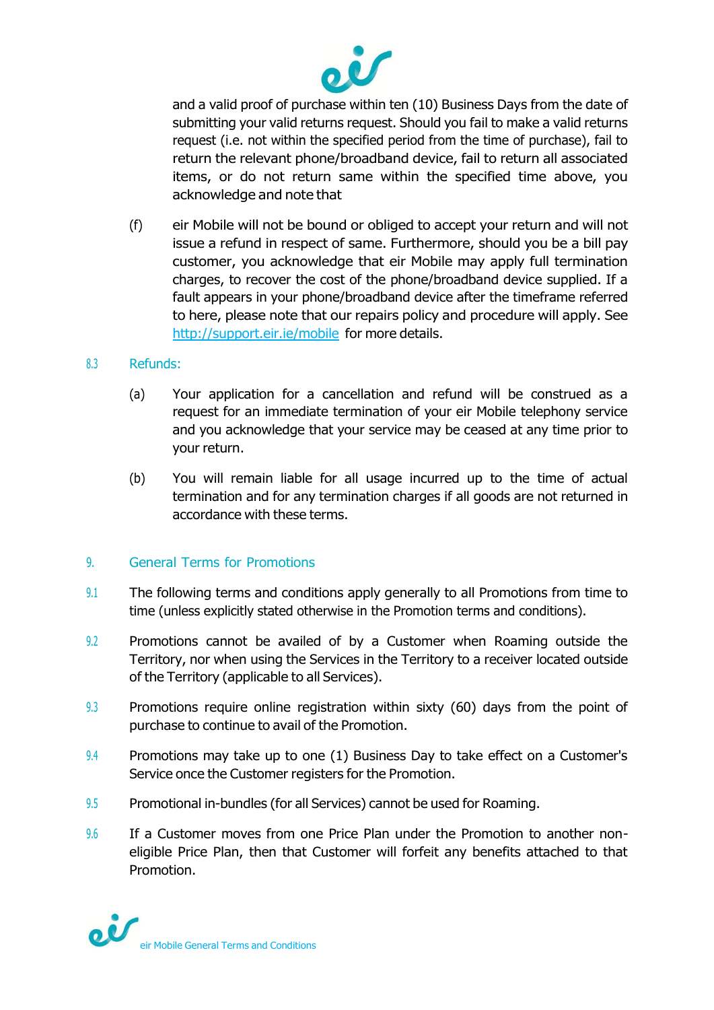

and a valid proof of purchase within ten (10) Business Days from the date of submitting your valid returns request. Should you fail to make a valid returns request (i.e. not within the specified period from the time of purchase), fail to return the relevant phone/broadband device, fail to return all associated items, or do not return same within the specified time above, you acknowledge and note that

(f) eir Mobile will not be bound or obliged to accept your return and will not issue a refund in respect of same. Furthermore, should you be a bill pay customer, you acknowledge that eir Mobile may apply full termination charges, to recover the cost of the phone/broadband device supplied. If a fault appears in your phone/broadband device after the timeframe referred to here, please note that our repairs policy and procedure will apply. See <http://support.eir.ie/mobile> for more details.

#### 8.3 Refunds:

- (a) Your application for a cancellation and refund will be construed as a request for an immediate termination of your eir Mobile telephony service and you acknowledge that your service may be ceased at any time prior to your return.
- (b) You will remain liable for all usage incurred up to the time of actual termination and for any termination charges if all goods are not returned in accordance with these terms.

# 9. General Terms for Promotions

- 9.1 The following terms and conditions apply generally to all Promotions from time to time (unless explicitly stated otherwise in the Promotion terms and conditions).
- 9.2 Promotions cannot be availed of by a Customer when Roaming outside the Territory, nor when using the Services in the Territory to a receiver located outside of the Territory (applicable to all Services).
- 9.3 Promotions require online registration within sixty (60) days from the point of purchase to continue to avail of the Promotion.
- 9.4 Promotions may take up to one (1) Business Day to take effect on a Customer's Service once the Customer registers for the Promotion.
- 9.5 Promotional in-bundles (for all Services) cannot be used for Roaming.
- 9.6 If a Customer moves from one Price Plan under the Promotion to another noneligible Price Plan, then that Customer will forfeit any benefits attached to that Promotion.

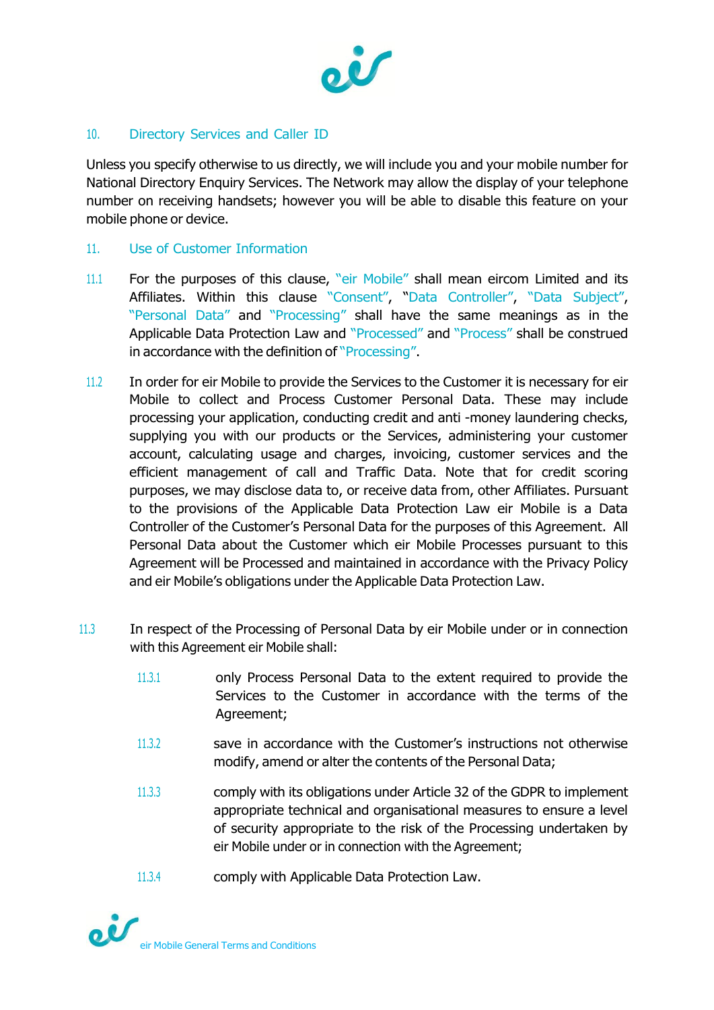

# 10. Directory Services and Caller ID

Unless you specify otherwise to us directly, we will include you and your mobile number for National Directory Enquiry Services. The Network may allow the display of your telephone number on receiving handsets; however you will be able to disable this feature on your mobile phone or device.

## 11. Use of Customer Information

- 11.1 For the purposes of this clause, "eir Mobile" shall mean eircom Limited and its Affiliates. Within this clause "Consent", "Data Controller", "Data Subject", "Personal Data" and "Processing" shall have the same meanings as in the Applicable Data Protection Law and "Processed" and "Process" shall be construed in accordance with the definition of "Processing".
- 11.2 In order for eir Mobile to provide the Services to the Customer it is necessary for eir Mobile to collect and Process Customer Personal Data. These may include processing your application, conducting credit and anti -money laundering checks, supplying you with our products or the Services, administering your customer account, calculating usage and charges, invoicing, customer services and the efficient management of call and Traffic Data. Note that for credit scoring purposes, we may disclose data to, or receive data from, other Affiliates. Pursuant to the provisions of the Applicable Data Protection Law eir Mobile is a Data Controller of the Customer's Personal Data for the purposes of this Agreement. All Personal Data about the Customer which eir Mobile Processes pursuant to this Agreement will be Processed and maintained in accordance with the Privacy Policy and eir Mobile's obligations under the Applicable Data Protection Law.
- 11.3 In respect of the Processing of Personal Data by eir Mobile under or in connection with this Agreement eir Mobile shall:
	- 11.3.1 only Process Personal Data to the extent required to provide the Services to the Customer in accordance with the terms of the Agreement;
	- 11.3.2 save in accordance with the Customer's instructions not otherwise modify, amend or alter the contents of the Personal Data;
	- 11.3.3 comply with its obligations under Article 32 of the GDPR to implement appropriate technical and organisational measures to ensure a level of security appropriate to the risk of the Processing undertaken by eir Mobile under or in connection with the Agreement;
	- 11.3.4 comply with Applicable Data Protection Law.

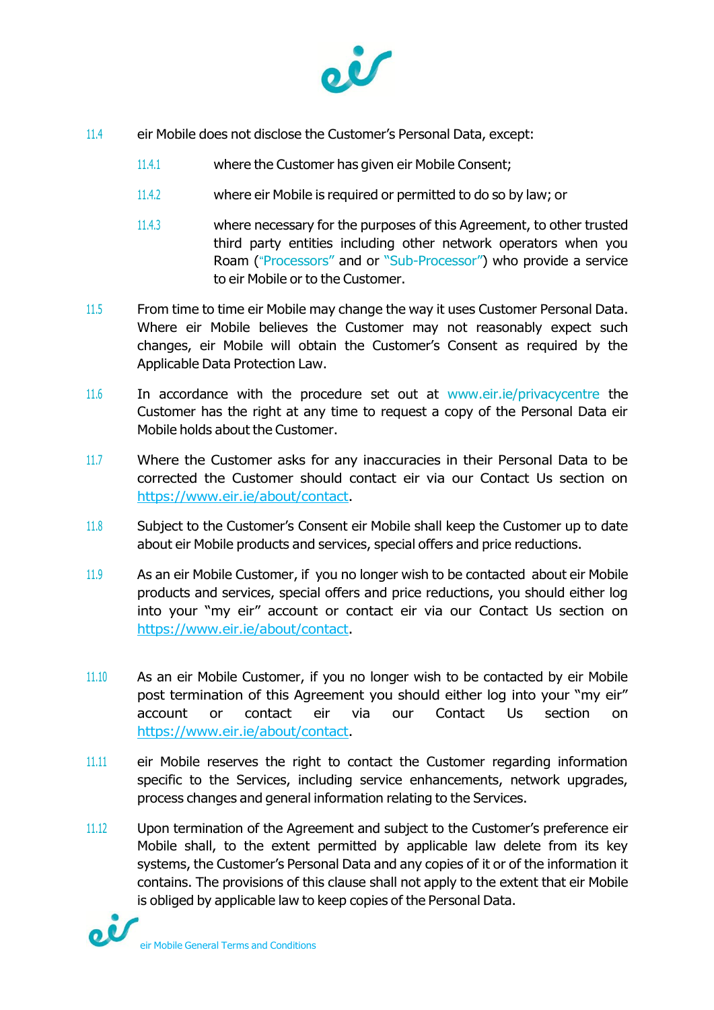

- 11.4 eir Mobile does not disclose the Customer's Personal Data, except:
	- 11.4.1 where the Customer has given eir Mobile Consent;
	- 11.4.2 where eir Mobile is required or permitted to do so by law; or
	- 11.4.3 where necessary for the purposes of this Agreement, to other trusted third party entities including other network operators when you Roam ("Processors" and or "Sub-Processor") who provide a service to eir Mobile or to the Customer.
- 11.5 From time to time eir Mobile may change the way it uses Customer Personal Data. Where eir Mobile believes the Customer may not reasonably expect such changes, eir Mobile will obtain the Customer's Consent as required by the Applicable Data Protection Law.
- 11.6 In accordance with the procedure set out at [www.eir.ie/p](http://www.eir.ie/)rivacycentre the Customer has the right at any time to request a copy of the Personal Data eir Mobile holds about the Customer.
- 11.7 Where the Customer asks for any inaccuracies in their Personal Data to be corrected the Customer should contact eir via our Contact Us section on [https://www.eir.ie/about/contact.](https://www.eir.ie/about/contact)
- 11.8 Subject to the Customer's Consent eir Mobile shall keep the Customer up to date about eir Mobile products and services, special offers and price reductions.
- 11.9 As an eir Mobile Customer, if you no longer wish to be contacted about eir Mobile products and services, special offers and price reductions, you should either log into your "my eir" account or contact eir via our Contact Us section on [https://www.eir.ie/about/contact.](https://www.eir.ie/about/contact)
- 11.10 As an eir Mobile Customer, if you no longer wish to be contacted by eir Mobile post termination of this Agreement you should either log into your "my eir" account or contact eir via our Contact Us section on [https://www.eir.ie/about/contact.](https://www.eir.ie/about/contact)
- 11.11 eir Mobile reserves the right to contact the Customer regarding information specific to the Services, including service enhancements, network upgrades, process changes and general information relating to the Services.
- 11.12 Upon termination of the Agreement and subject to the Customer's preference eir Mobile shall, to the extent permitted by applicable law delete from its key systems, the Customer's Personal Data and any copies of it or of the information it contains. The provisions of this clause shall not apply to the extent that eir Mobile is obliged by applicable law to keep copies of the Personal Data.

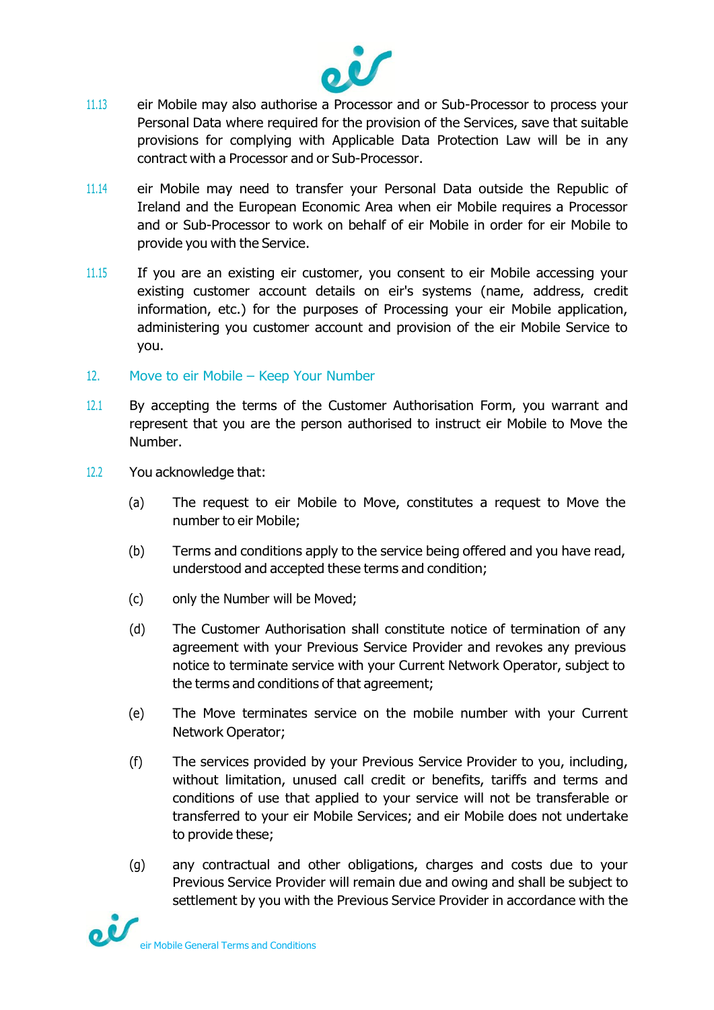

- 11.13 eir Mobile may also authorise a Processor and or Sub-Processor to process your Personal Data where required for the provision of the Services, save that suitable provisions for complying with Applicable Data Protection Law will be in any contract with a Processor and or Sub-Processor.
- 11.14 eir Mobile may need to transfer your Personal Data outside the Republic of Ireland and the European Economic Area when eir Mobile requires a Processor and or Sub-Processor to work on behalf of eir Mobile in order for eir Mobile to provide you with the Service.
- 11.15 If you are an existing eir customer, you consent to eir Mobile accessing your existing customer account details on eir's systems (name, address, credit information, etc.) for the purposes of Processing your eir Mobile application, administering you customer account and provision of the eir Mobile Service to you.
- 12. Move to eir Mobile Keep Your Number
- 12.1 By accepting the terms of the Customer Authorisation Form, you warrant and represent that you are the person authorised to instruct eir Mobile to Move the Number.
- 12.2 You acknowledge that:
	- (a) The request to eir Mobile to Move, constitutes a request to Move the number to eir Mobile;
	- (b) Terms and conditions apply to the service being offered and you have read, understood and accepted these terms and condition;
	- (c) only the Number will be Moved;
	- (d) The Customer Authorisation shall constitute notice of termination of any agreement with your Previous Service Provider and revokes any previous notice to terminate service with your Current Network Operator, subject to the terms and conditions of that agreement;
	- (e) The Move terminates service on the mobile number with your Current Network Operator;
	- (f) The services provided by your Previous Service Provider to you, including, without limitation, unused call credit or benefits, tariffs and terms and conditions of use that applied to your service will not be transferable or transferred to your eir Mobile Services; and eir Mobile does not undertake to provide these;
	- (g) any contractual and other obligations, charges and costs due to your Previous Service Provider will remain due and owing and shall be subject to settlement by you with the Previous Service Provider in accordance with the

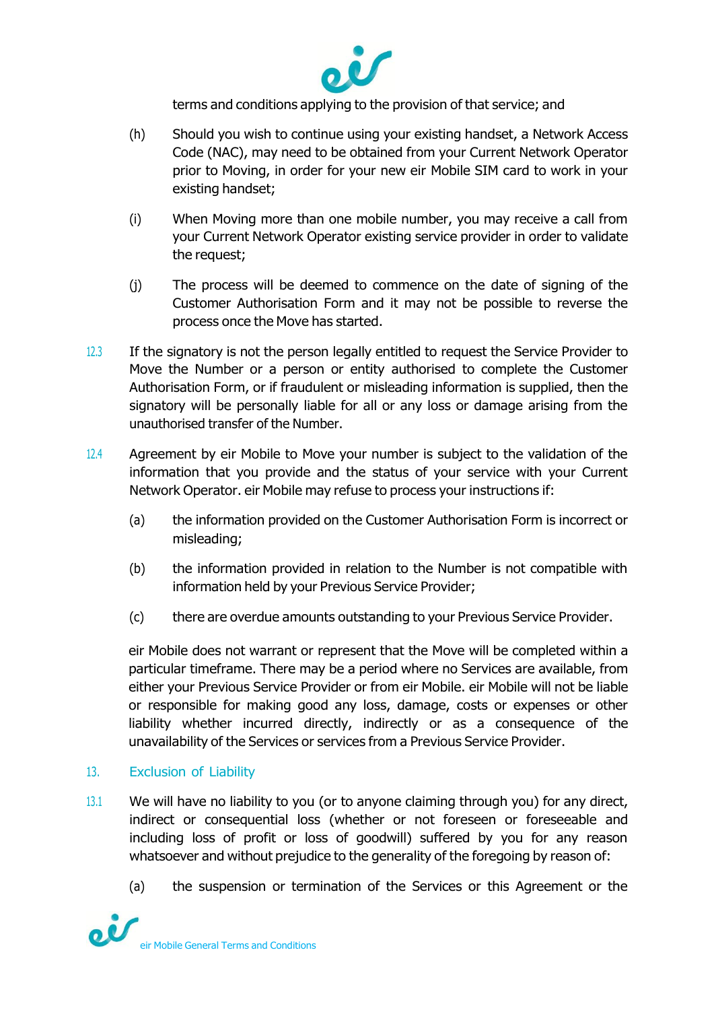

terms and conditions applying to the provision of that service; and

- (h) Should you wish to continue using your existing handset, a Network Access Code (NAC), may need to be obtained from your Current Network Operator prior to Moving, in order for your new eir Mobile SIM card to work in your existing handset;
- (i) When Moving more than one mobile number, you may receive a call from your Current Network Operator existing service provider in order to validate the request;
- (j) The process will be deemed to commence on the date of signing of the Customer Authorisation Form and it may not be possible to reverse the process once the Move has started.
- 12.3 If the signatory is not the person legally entitled to request the Service Provider to Move the Number or a person or entity authorised to complete the Customer Authorisation Form, or if fraudulent or misleading information is supplied, then the signatory will be personally liable for all or any loss or damage arising from the unauthorised transfer of the Number.
- 12.4 Agreement by eir Mobile to Move your number is subject to the validation of the information that you provide and the status of your service with your Current Network Operator. eir Mobile may refuse to process your instructions if:
	- (a) the information provided on the Customer Authorisation Form is incorrect or misleading;
	- (b) the information provided in relation to the Number is not compatible with information held by your Previous Service Provider;
	- (c) there are overdue amounts outstanding to your Previous Service Provider.

eir Mobile does not warrant or represent that the Move will be completed within a particular timeframe. There may be a period where no Services are available, from either your Previous Service Provider or from eir Mobile. eir Mobile will not be liable or responsible for making good any loss, damage, costs or expenses or other liability whether incurred directly, indirectly or as a consequence of the unavailability of the Services or services from a Previous Service Provider.

# 13. Exclusion of Liability

- 13.1 We will have no liability to you (or to anyone claiming through you) for any direct, indirect or consequential loss (whether or not foreseen or foreseeable and including loss of profit or loss of goodwill) suffered by you for any reason whatsoever and without prejudice to the generality of the foregoing by reason of:
	- (a) the suspension or termination of the Services or this Agreement or the

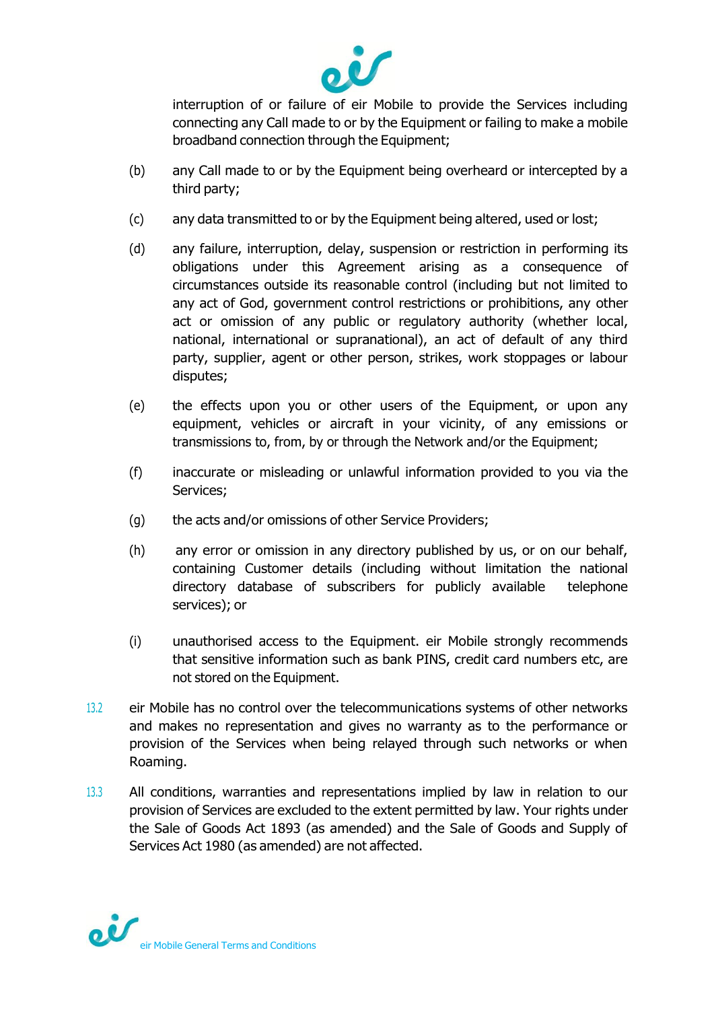

interruption of or failure of eir Mobile to provide the Services including connecting any Call made to or by the Equipment or failing to make a mobile broadband connection through the Equipment;

- (b) any Call made to or by the Equipment being overheard or intercepted by a third party;
- (c) any data transmitted to or by the Equipment being altered, used or lost;
- (d) any failure, interruption, delay, suspension or restriction in performing its obligations under this Agreement arising as a consequence of circumstances outside its reasonable control (including but not limited to any act of God, government control restrictions or prohibitions, any other act or omission of any public or regulatory authority (whether local, national, international or supranational), an act of default of any third party, supplier, agent or other person, strikes, work stoppages or labour disputes;
- (e) the effects upon you or other users of the Equipment, or upon any equipment, vehicles or aircraft in your vicinity, of any emissions or transmissions to, from, by or through the Network and/or the Equipment;
- (f) inaccurate or misleading or unlawful information provided to you via the Services;
- (g) the acts and/or omissions of other Service Providers;
- (h) any error or omission in any directory published by us, or on our behalf, containing Customer details (including without limitation the national directory database of subscribers for publicly available telephone services); or
- (i) unauthorised access to the Equipment. eir Mobile strongly recommends that sensitive information such as bank PINS, credit card numbers etc, are not stored on the Equipment.
- 13.2 eir Mobile has no control over the telecommunications systems of other networks and makes no representation and gives no warranty as to the performance or provision of the Services when being relayed through such networks or when Roaming.
- 13.3 All conditions, warranties and representations implied by law in relation to our provision of Services are excluded to the extent permitted by law. Your rights under the Sale of Goods Act 1893 (as amended) and the Sale of Goods and Supply of Services Act 1980 (as amended) are not affected.

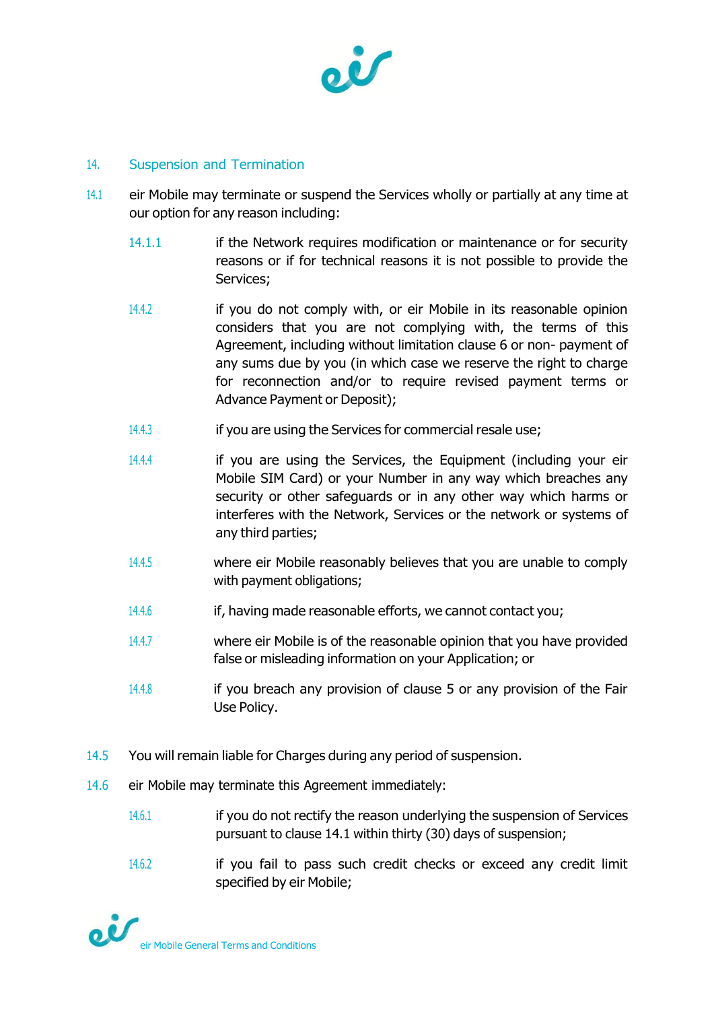

### 14. Suspension and Termination

- 14.1 eir Mobile may terminate or suspend the Services wholly or partially at any time at our option for any reason including:
	- 14.1.1 if the Network requires modification or maintenance or for security reasons or if for technical reasons it is not possible to provide the Services;
	- 14.4.2 if you do not comply with, or eir Mobile in its reasonable opinion considers that you are not complying with, the terms of this Agreement, including without limitation clause 6 or non- payment of any sums due by you (in which case we reserve the right to charge for reconnection and/or to require revised payment terms or Advance Payment or Deposit);
	- 14.4.3 if you are using the Services for commercial resale use;
	- 14.4.4 if you are using the Services, the Equipment (including your eir Mobile SIM Card) or your Number in any way which breaches any security or other safeguards or in any other way which harms or interferes with the Network, Services or the network or systems of any third parties;
	- 14.4.5 where eir Mobile reasonably believes that you are unable to comply with payment obligations;
	- 14.4.6 if, having made reasonable efforts, we cannot contact you;
	- 14.4.7 where eir Mobile is of the reasonable opinion that you have provided false or misleading information on your Application; or
	- 14.4.8 if you breach any provision of clause 5 or any provision of the Fair Use Policy.
- 14.5 You will remain liable for Charges during any period of suspension.
- 14.6 eir Mobile may terminate this Agreement immediately:
	- 14.6.1 if you do not rectify the reason underlying the suspension of Services pursuant to clause 14.1 within thirty (30) days of suspension;
	- 14.6.2 if you fail to pass such credit checks or exceed any credit limit specified by eir Mobile;

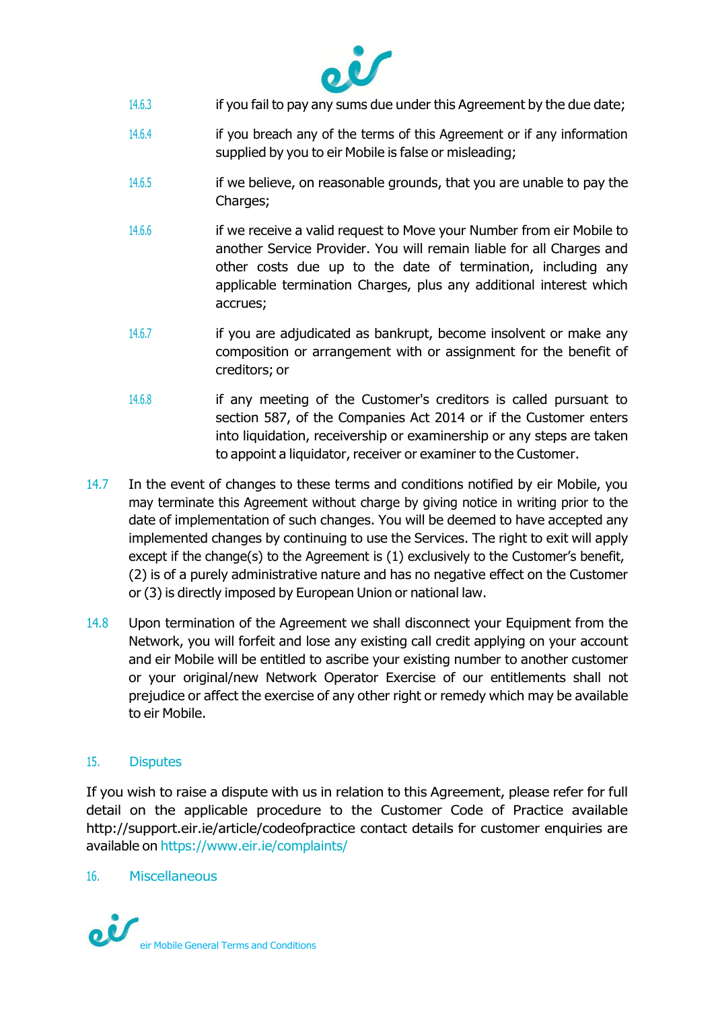

- 14.6.3 if you fail to pay any sums due under this Agreement by the due date;
- 14.6.4 if you breach any of the terms of this Agreement or if any information supplied by you to eir Mobile is false or misleading;
- 14.6.5 if we believe, on reasonable grounds, that you are unable to pay the Charges;
- 14.6.6 if we receive a valid request to Move your Number from eir Mobile to another Service Provider. You will remain liable for all Charges and other costs due up to the date of termination, including any applicable termination Charges, plus any additional interest which accrues;
- 14.6.7 if you are adjudicated as bankrupt, become insolvent or make any composition or arrangement with or assignment for the benefit of creditors; or
- 14.6.8 if any meeting of the Customer's creditors is called pursuant to section 587, of the Companies Act 2014 or if the Customer enters into liquidation, receivership or examinership or any steps are taken to appoint a liquidator, receiver or examiner to the Customer.
- 14.7 In the event of changes to these terms and conditions notified by eir Mobile, you may terminate this Agreement without charge by giving notice in writing prior to the date of implementation of such changes. You will be deemed to have accepted any implemented changes by continuing to use the Services. The right to exit will apply except if the change(s) to the Agreement is (1) exclusively to the Customer's benefit, (2) is of a purely administrative nature and has no negative effect on the Customer or (3) is directly imposed by European Union or national law.
- 14.8 Upon termination of the Agreement we shall disconnect your Equipment from the Network, you will forfeit and lose any existing call credit applying on your account and eir Mobile will be entitled to ascribe your existing number to another customer or your original/new Network Operator Exercise of our entitlements shall not prejudice or affect the exercise of any other right or remedy which may be available to eir Mobile.

# 15. Disputes

If you wish to raise a dispute with us in relation to this Agreement, please refer for full detail on the applicable procedure to the Customer Code of Practice available [http://support.eir.ie/article/codeofpractice c](http://support.eir.ie/article/codeofpractice)ontact details for customer enquiries are available on <https://www.eir.ie/complaints/>

#### 16. Miscellaneous

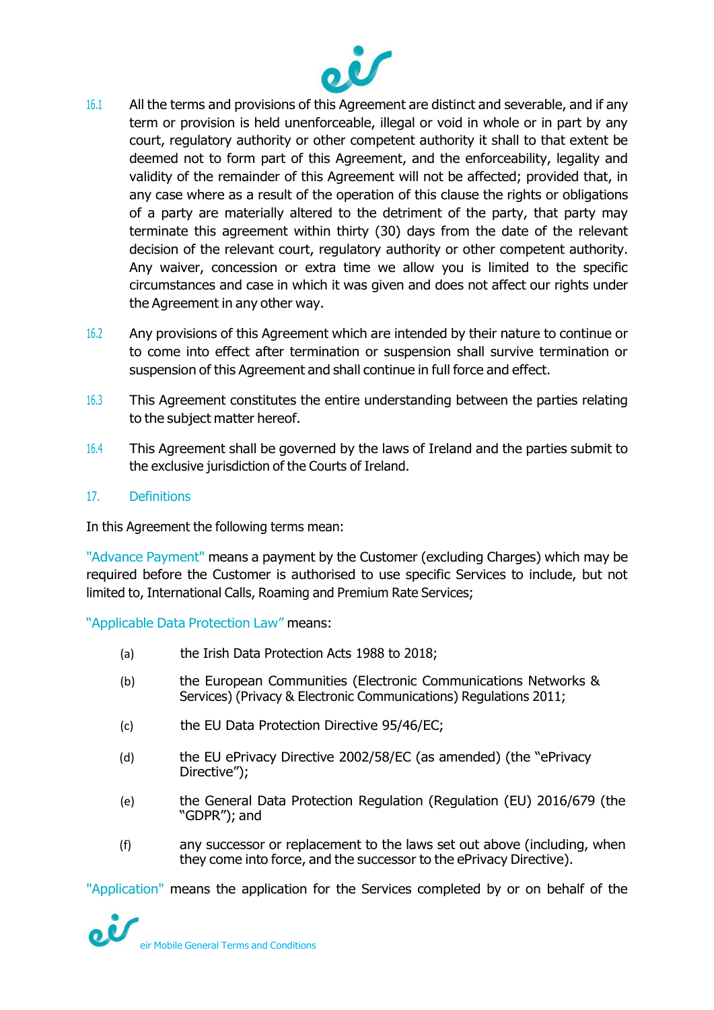

- 16.1 All the terms and provisions of this Agreement are distinct and severable, and if any term or provision is held unenforceable, illegal or void in whole or in part by any court, regulatory authority or other competent authority it shall to that extent be deemed not to form part of this Agreement, and the enforceability, legality and validity of the remainder of this Agreement will not be affected; provided that, in any case where as a result of the operation of this clause the rights or obligations of a party are materially altered to the detriment of the party, that party may terminate this agreement within thirty (30) days from the date of the relevant decision of the relevant court, regulatory authority or other competent authority. Any waiver, concession or extra time we allow you is limited to the specific circumstances and case in which it was given and does not affect our rights under the Agreement in any other way.
- 16.2 Any provisions of this Agreement which are intended by their nature to continue or to come into effect after termination or suspension shall survive termination or suspension of this Agreement and shall continue in full force and effect.
- 16.3 This Agreement constitutes the entire understanding between the parties relating to the subject matter hereof.
- 16.4 This Agreement shall be governed by the laws of Ireland and the parties submit to the exclusive jurisdiction of the Courts of Ireland.

# 17. Definitions

In this Agreement the following terms mean:

"Advance Payment" means a payment by the Customer (excluding Charges) which may be required before the Customer is authorised to use specific Services to include, but not limited to, International Calls, Roaming and Premium Rate Services;

"Applicable Data Protection Law" means:

- (a) the Irish Data Protection Acts 1988 to 2018;
- (b) the European Communities (Electronic Communications Networks & Services) (Privacy & Electronic Communications) Regulations 2011;
- (c) the EU Data Protection Directive 95/46/EC;
- (d) the EU ePrivacy Directive 2002/58/EC (as amended) (the "ePrivacy Directive");
- (e) the General Data Protection Regulation (Regulation (EU) 2016/679 (the "GDPR"); and
- (f) any successor or replacement to the laws set out above (including, when they come into force, and the successor to the ePrivacy Directive).

"Application" means the application for the Services completed by or on behalf of the

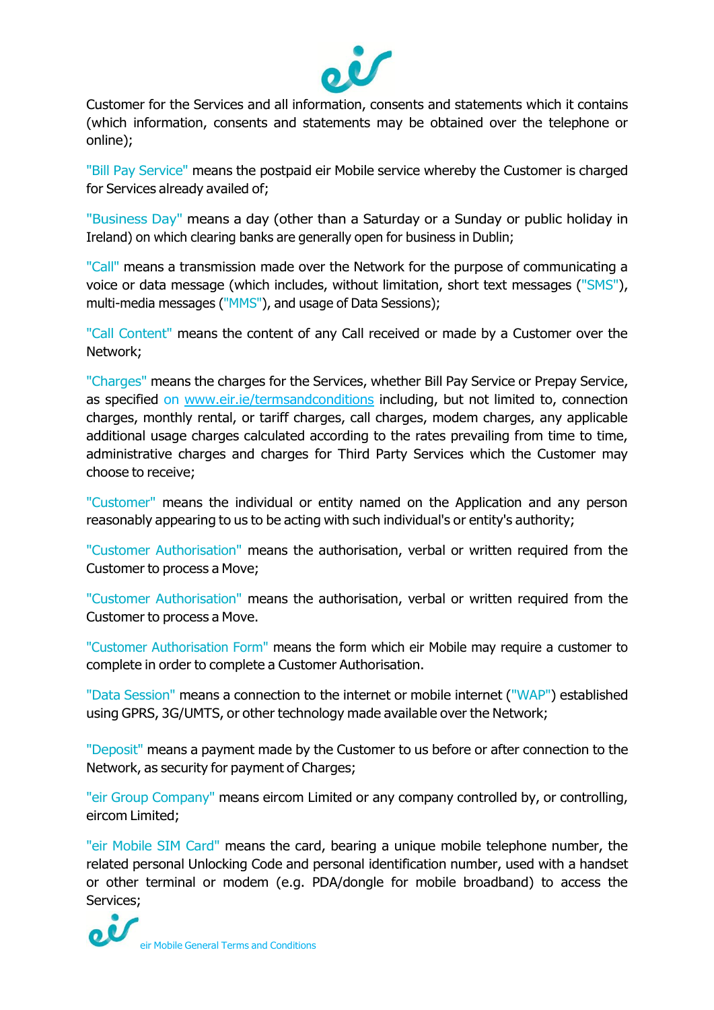

Customer for the Services and all information, consents and statements which it contains (which information, consents and statements may be obtained over the telephone or online);

"Bill Pay Service" means the postpaid eir Mobile service whereby the Customer is charged for Services already availed of;

"Business Day" means a day (other than a Saturday or a Sunday or public holiday in Ireland) on which clearing banks are generally open for business in Dublin;

"Call" means a transmission made over the Network for the purpose of communicating a voice or data message (which includes, without limitation, short text messages ("SMS"), multi-media messages ("MMS"), and usage of Data Sessions);

"Call Content" means the content of any Call received or made by a Customer over the Network;

"Charges" means the charges for the Services, whether Bill Pay Service or Prepay Service, as specified on [www.eir.ie/termsandconditions](http://www.eir.ie/termsandconditions) including, but not limited to, connection charges, monthly rental, or tariff charges, call charges, modem charges, any applicable additional usage charges calculated according to the rates prevailing from time to time, administrative charges and charges for Third Party Services which the Customer may choose to receive;

"Customer" means the individual or entity named on the Application and any person reasonably appearing to us to be acting with such individual's or entity's authority;

"Customer Authorisation" means the authorisation, verbal or written required from the Customer to process a Move;

"Customer Authorisation" means the authorisation, verbal or written required from the Customer to process a Move.

"Customer Authorisation Form" means the form which eir Mobile may require a customer to complete in order to complete a Customer Authorisation.

"Data Session" means a connection to the internet or mobile internet ("WAP") established using GPRS, 3G/UMTS, or other technology made available over the Network;

"Deposit" means a payment made by the Customer to us before or after connection to the Network, as security for payment of Charges;

"eir Group Company" means eircom Limited or any company controlled by, or controlling, eircom Limited;

"eir Mobile SIM Card" means the card, bearing a unique mobile telephone number, the related personal Unlocking Code and personal identification number, used with a handset or other terminal or modem (e.g. PDA/dongle for mobile broadband) to access the Services;

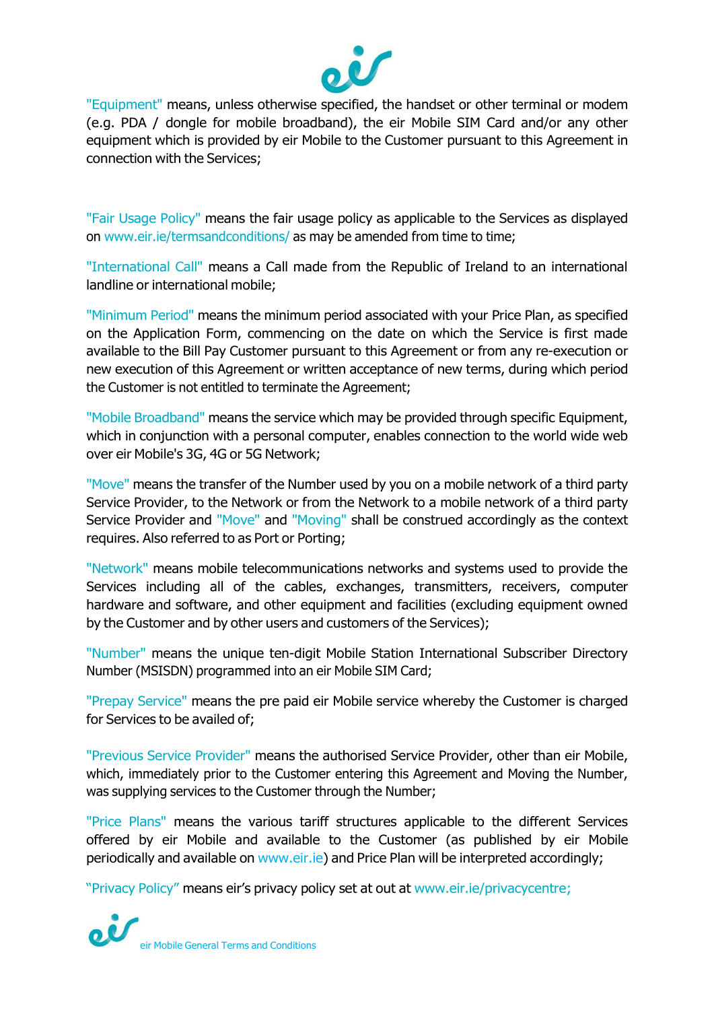

"Equipment" means, unless otherwise specified, the handset or other terminal or modem (e.g. PDA / dongle for mobile broadband), the eir Mobile SIM Card and/or any other equipment which is provided by eir Mobile to the Customer pursuant to this Agreement in connection with the Services;

"Fair Usage Policy" means the fair usage policy as applicable to the Services as displayed on [www.eir.ie/termsandconditions/](http://www.eir.ie/termsandconditions/) as may be amended from time to time;

"International Call" means a Call made from the Republic of Ireland to an international landline or international mobile;

"Minimum Period" means the minimum period associated with your Price Plan, as specified on the Application Form, commencing on the date on which the Service is first made available to the Bill Pay Customer pursuant to this Agreement or from any re-execution or new execution of this Agreement or written acceptance of new terms, during which period the Customer is not entitled to terminate the Agreement;

"Mobile Broadband" means the service which may be provided through specific Equipment, which in conjunction with a personal computer, enables connection to the world wide web over eir Mobile's 3G, 4G or 5G Network;

"Move" means the transfer of the Number used by you on a mobile network of a third party Service Provider, to the Network or from the Network to a mobile network of a third party Service Provider and "Move" and "Moving" shall be construed accordingly as the context requires. Also referred to as Port or Porting;

"Network" means mobile telecommunications networks and systems used to provide the Services including all of the cables, exchanges, transmitters, receivers, computer hardware and software, and other equipment and facilities (excluding equipment owned by the Customer and by other users and customers of the Services);

"Number" means the unique ten-digit Mobile Station International Subscriber Directory Number (MSISDN) programmed into an eir Mobile SIM Card;

"Prepay Service" means the pre paid eir Mobile service whereby the Customer is charged for Services to be availed of;

"Previous Service Provider" means the authorised Service Provider, other than eir Mobile, which, immediately prior to the Customer entering this Agreement and Moving the Number, was supplying services to the Customer through the Number;

"Price Plans" means the various tariff structures applicable to the different Services offered by eir Mobile and available to the Customer (as published by eir Mobile periodically and available on www.eir.ie) and Price Plan will be interpreted accordingly;

"Privacy Policy" means eir's privacy policy set at out at [www.eir.ie/privacycentre;](http://www.eir.ie/privacycentre)